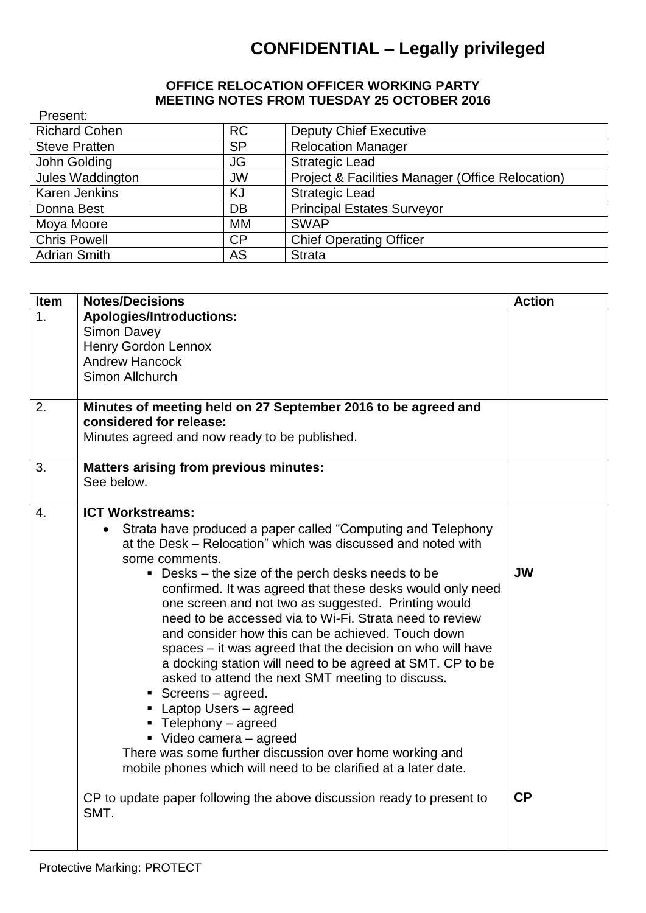## **CONFIDENTIAL – Legally privileged**

## **OFFICE RELOCATION OFFICER WORKING PARTY MEETING NOTES FROM TUESDAY 25 OCTOBER 2016**

| Present:             |           |                                                  |
|----------------------|-----------|--------------------------------------------------|
| <b>Richard Cohen</b> | <b>RC</b> | <b>Deputy Chief Executive</b>                    |
| <b>Steve Pratten</b> | <b>SP</b> | <b>Relocation Manager</b>                        |
| John Golding         | <b>JG</b> | <b>Strategic Lead</b>                            |
| Jules Waddington     | <b>JW</b> | Project & Facilities Manager (Office Relocation) |
| <b>Karen Jenkins</b> | KJ        | <b>Strategic Lead</b>                            |
| Donna Best           | DB        | <b>Principal Estates Surveyor</b>                |
| Moya Moore           | МM        | <b>SWAP</b>                                      |
| <b>Chris Powell</b>  | CP        | <b>Chief Operating Officer</b>                   |
| <b>Adrian Smith</b>  | AS        | <b>Strata</b>                                    |

| <b>Item</b> | <b>Notes/Decisions</b>                                                                                                       | <b>Action</b> |
|-------------|------------------------------------------------------------------------------------------------------------------------------|---------------|
| 1.          | <b>Apologies/Introductions:</b>                                                                                              |               |
|             | Simon Davey                                                                                                                  |               |
|             | <b>Henry Gordon Lennox</b>                                                                                                   |               |
|             | <b>Andrew Hancock</b>                                                                                                        |               |
|             | Simon Allchurch                                                                                                              |               |
|             |                                                                                                                              |               |
| 2.          | Minutes of meeting held on 27 September 2016 to be agreed and                                                                |               |
|             | considered for release:                                                                                                      |               |
|             | Minutes agreed and now ready to be published.                                                                                |               |
|             |                                                                                                                              |               |
| 3.          | <b>Matters arising from previous minutes:</b>                                                                                |               |
|             | See below.                                                                                                                   |               |
| 4.          | <b>ICT Workstreams:</b>                                                                                                      |               |
|             |                                                                                                                              |               |
|             | Strata have produced a paper called "Computing and Telephony<br>at the Desk – Relocation" which was discussed and noted with |               |
|             |                                                                                                                              |               |
|             | some comments.                                                                                                               | <b>JW</b>     |
|             | ■ Desks – the size of the perch desks needs to be<br>confirmed. It was agreed that these desks would only need               |               |
|             | one screen and not two as suggested. Printing would                                                                          |               |
|             | need to be accessed via to Wi-Fi. Strata need to review                                                                      |               |
|             | and consider how this can be achieved. Touch down                                                                            |               |
|             | spaces - it was agreed that the decision on who will have                                                                    |               |
|             | a docking station will need to be agreed at SMT. CP to be                                                                    |               |
|             | asked to attend the next SMT meeting to discuss.                                                                             |               |
|             | Screens - agreed.                                                                                                            |               |
|             | • Laptop Users - agreed                                                                                                      |               |
|             | • Telephony - agreed                                                                                                         |               |
|             | ■ Video camera – agreed                                                                                                      |               |
|             | There was some further discussion over home working and                                                                      |               |
|             | mobile phones which will need to be clarified at a later date.                                                               |               |
|             |                                                                                                                              |               |
|             | CP to update paper following the above discussion ready to present to                                                        | <b>CP</b>     |
|             | SMT.                                                                                                                         |               |
|             |                                                                                                                              |               |
|             |                                                                                                                              |               |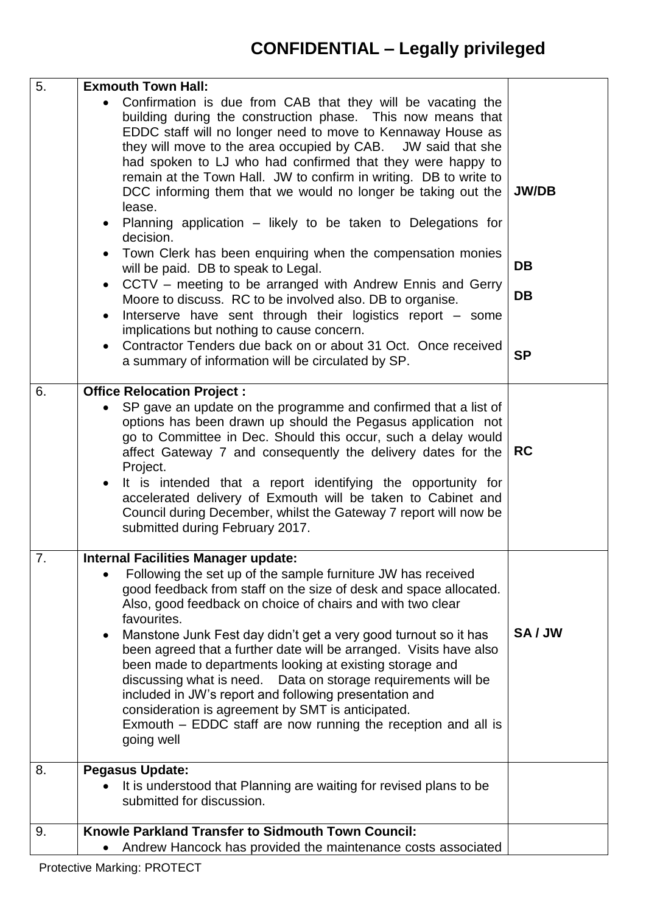## **CONFIDENTIAL – Legally privileged**

| 5. | <b>Exmouth Town Hall:</b>                                                                                                                                                                                                                                                                                                                                                                                                                                                                                                                                                                                                                                                                                                                                                                                                      |                                 |
|----|--------------------------------------------------------------------------------------------------------------------------------------------------------------------------------------------------------------------------------------------------------------------------------------------------------------------------------------------------------------------------------------------------------------------------------------------------------------------------------------------------------------------------------------------------------------------------------------------------------------------------------------------------------------------------------------------------------------------------------------------------------------------------------------------------------------------------------|---------------------------------|
|    | Confirmation is due from CAB that they will be vacating the<br>building during the construction phase. This now means that<br>EDDC staff will no longer need to move to Kennaway House as<br>had spoken to LJ who had confirmed that they were happy to<br>remain at the Town Hall. JW to confirm in writing. DB to write to<br>DCC informing them that we would no longer be taking out the<br>lease.<br>Planning application – likely to be taken to Delegations for<br>decision.<br>Town Clerk has been enquiring when the compensation monies<br>will be paid. DB to speak to Legal.<br>CCTV – meeting to be arranged with Andrew Ennis and Gerry<br>Moore to discuss. RC to be involved also. DB to organise.<br>Interserve have sent through their logistics report – some<br>implications but nothing to cause concern. | <b>JW/DB</b><br>DB<br><b>DB</b> |
|    | Contractor Tenders due back on or about 31 Oct. Once received<br>a summary of information will be circulated by SP.                                                                                                                                                                                                                                                                                                                                                                                                                                                                                                                                                                                                                                                                                                            | <b>SP</b>                       |
| 6. | <b>Office Relocation Project:</b><br>SP gave an update on the programme and confirmed that a list of<br>options has been drawn up should the Pegasus application not<br>go to Committee in Dec. Should this occur, such a delay would<br>affect Gateway 7 and consequently the delivery dates for the<br>Project.<br>It is intended that a report identifying the opportunity for<br>accelerated delivery of Exmouth will be taken to Cabinet and<br>Council during December, whilst the Gateway 7 report will now be<br>submitted during February 2017.                                                                                                                                                                                                                                                                       | <b>RC</b>                       |
| 7. | <b>Internal Facilities Manager update:</b><br>Following the set up of the sample furniture JW has received<br>good feedback from staff on the size of desk and space allocated.<br>Also, good feedback on choice of chairs and with two clear<br>favourites.<br>Manstone Junk Fest day didn't get a very good turnout so it has<br>been agreed that a further date will be arranged. Visits have also<br>been made to departments looking at existing storage and<br>discussing what is need. Data on storage requirements will be<br>included in JW's report and following presentation and<br>consideration is agreement by SMT is anticipated.<br>Exmouth – EDDC staff are now running the reception and all is<br>going well                                                                                               | SA/JW                           |
| 8. | <b>Pegasus Update:</b><br>It is understood that Planning are waiting for revised plans to be<br>submitted for discussion.                                                                                                                                                                                                                                                                                                                                                                                                                                                                                                                                                                                                                                                                                                      |                                 |
| 9. | Knowle Parkland Transfer to Sidmouth Town Council:<br>Andrew Hancock has provided the maintenance costs associated                                                                                                                                                                                                                                                                                                                                                                                                                                                                                                                                                                                                                                                                                                             |                                 |